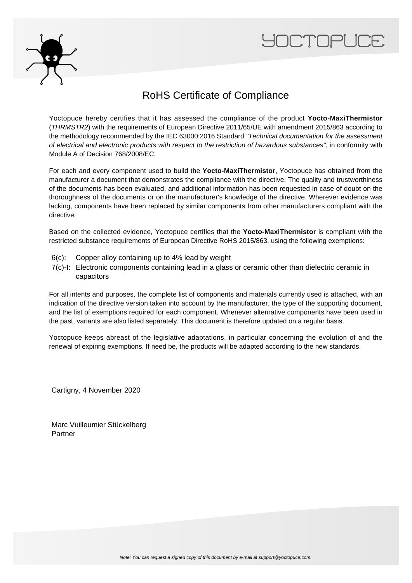



## RoHS Certificate of Compliance

Yoctopuce hereby certifies that it has assessed the compliance of the product **Yocto-MaxiThermistor** (THRMSTR2) with the requirements of European Directive 2011/65/UE with amendment 2015/863 according to the methodology recommended by the IEC 63000:2016 Standard "Technical documentation for the assessment of electrical and electronic products with respect to the restriction of hazardous substances", in conformity with Module A of Decision 768/2008/EC.

For each and every component used to build the **Yocto-MaxiThermistor**, Yoctopuce has obtained from the manufacturer a document that demonstrates the compliance with the directive. The quality and trustworthiness of the documents has been evaluated, and additional information has been requested in case of doubt on the thoroughness of the documents or on the manufacturer's knowledge of the directive. Wherever evidence was lacking, components have been replaced by similar components from other manufacturers compliant with the directive.

Based on the collected evidence, Yoctopuce certifies that the **Yocto-MaxiThermistor** is compliant with the restricted substance requirements of European Directive RoHS 2015/863, using the following exemptions:

- 6(c): Copper alloy containing up to 4% lead by weight
- 7(c)-I: Electronic components containing lead in a glass or ceramic other than dielectric ceramic in capacitors

For all intents and purposes, the complete list of components and materials currently used is attached, with an indication of the directive version taken into account by the manufacturer, the type of the supporting document, and the list of exemptions required for each component. Whenever alternative components have been used in the past, variants are also listed separately. This document is therefore updated on a regular basis.

Yoctopuce keeps abreast of the legislative adaptations, in particular concerning the evolution of and the renewal of expiring exemptions. If need be, the products will be adapted according to the new standards.

Cartigny, 4 November 2020

Marc Vuilleumier Stückelberg Partner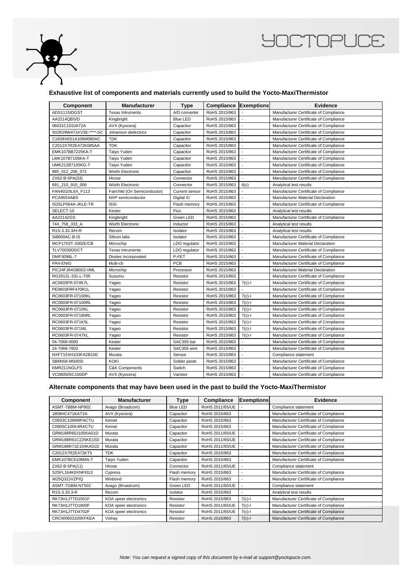

## **YOCTOPUCE**

## **Exhaustive list of components and materials currently used to build the Yocto-MaxiThermistor**

| Component              | <b>Manufacturer</b>          | <b>Type</b>           | <b>Compliance Exemptions</b> |                             | Evidence                                 |
|------------------------|------------------------------|-----------------------|------------------------------|-----------------------------|------------------------------------------|
| ADS1115IDGST           | <b>Texas Intruments</b>      | A/D converter         | RoHS 2015/863                |                             | Manufacturer Certificate of Compliance   |
| AA2214QBS/D            | Kingbright                   | <b>Blue LED</b>       | RoHS 2015/863                |                             | Manufacturer Certificate of Compliance   |
| 06031C103JAT2A         | AVX (Kyocera)                | Capacitor             | RoHS 2015/863                | $\sim$                      | Manufacturer Certificate of Compliance   |
| 502R29W471KV3E-****-SC | Johanson dielectrics         | Capacitor             | RoHS 2015/863                |                             | Manufacturer Certificate of Compliance   |
| C1608X6S1A106M080AC    | <b>TDK</b>                   | Capacitor             | RoHS 2015/863                | $\overline{a}$              | Manufacturer Certificate of Compliance   |
| C2012X7R2E472K085AA    | <b>TDK</b>                   | Capacitor             | RoHS 2015/863                |                             | Manufacturer Certificate of Compliance   |
| EMK107BB7225KA-T       | Taiyo Yuden                  | Capacitor             | RoHS 2015/863                | $\sim$                      | Manufacturer Certificate of Compliance   |
| LMK107B7105KA-T        | Taiyo Yuden                  | Capacitor             | RoHS 2015/863                |                             | Manufacturer Certificate of Compliance   |
| UMK212B7105KG-T        | Taiyo Yuden                  | Capacitor             | RoHS 2015/863                |                             | Manufacturer Certificate of Compliance   |
| 885_012_206_071        | Würth Electronic             | Capacitor             | RoHS 2015/863                |                             | Manufacturer Certificate of Compliance   |
| ZX62-B-5PA(33)         | Hirose                       | Connector             | RoHS 2015/863                |                             | Manufacturer Certificate of Compliance   |
| 691 210 910 006        | Würth Electronic             | Connector             | RoHS 2015/863                | 6(c)                        | Analytical test results                  |
| FAN4010IL6X F113       | Fairchild (On Semiconductor) | <b>Current sensor</b> | RoHS 2015/863                |                             | Manufacturer Certificate of Compliance   |
| PCA9554ABS             | NXP semiconductor            | Digital IC            | RoHS 2015/863                | $\overline{a}$              | <b>Manufacturer Material Declaration</b> |
| IS25LP064A-JKLE-TR     | <b>ISSI</b>                  | Flash memory          | RoHS 2015/863                |                             | Manufacturer Certificate of Compliance   |
| SELECT-10              | Kester                       | <b>Flux</b>           | RoHS 2015/863                | $\mathcal{L}_{\mathcal{A}}$ | Analytical test results                  |
| AA2214ZGS              | Kingbright                   | Green LED             | RoHS 2015/863                |                             | Manufacturer Certificate of Compliance   |
| 744_758_333_A          | Würth Electronic             | Inductor              | RoHS 2015/863                |                             | Analytical test results                  |
| R1S-3.33.3/H-R         | Recom                        | Isolator              | RoHS 2015/863                |                             | Analytical test results                  |
| Si8600AC-B-IS          | Silicon labs                 | Isolator              | RoHS 2015/863                |                             | Manufacturer Certificate of Compliance   |
| MCP1703T-3302E/CB      | Microchip                    | LDO regulator         | RoHS 2015/863                | $\overline{\phantom{a}}$    | Manufacturer Material Declaration        |
| TLV70030DDCT           | <b>Texas Intruments</b>      | LDO regulator         | RoHS 2015/863                |                             | Manufacturer Certificate of Compliance   |
| DMP3098L-7             | Diodes Incorporated          | P-FET                 | RoHS 2015/863                | $\overline{a}$              | Manufacturer Certificate of Compliance   |
| FR4-ENIG               | Multi-cb                     | PCB                   | RoHS 2015/863                |                             | Manufacturer Certificate of Compliance   |
| PIC24FJ64GB002-I/ML    | Microchip                    | Processor             | RoHS 2015/863                | $\blacksquare$              | <b>Manufacturer Material Declaration</b> |
| RG2012L-331-L-T05      | Susumu                       | Resistor              | RoHS 2015/863                |                             | Manufacturer Certificate of Compliance   |
| AC0603FR-074K7L        | Yageo                        | Resistor              | RoHS 2015/863                | $7(c)-1$                    | Manufacturer Certificate of Compliance   |
| PE0603FRF470R1L        | Yageo                        | Resistor              | RoHS 2015/863                |                             | Manufacturer Certificate of Compliance   |
| RC0603FR-07100KL       | Yageo                        | Resistor              | RoHS 2015/863                | $7(c)$ -l                   | Manufacturer Certificate of Compliance   |
| RC0603FR-07100RL       | Yageo                        | Resistor              | RoHS 2015/863                | $7(c)-1$                    | Manufacturer Certificate of Compliance   |
| RC0603FR-0710KL        | Yageo                        | Resistor              | RoHS 2015/863                | $7(c)-1$                    | Manufacturer Certificate of Compliance   |
| RC0603FR-07180RL       | Yageo                        | Resistor              | RoHS 2015/863                | $7(c)-1$                    | Manufacturer Certificate of Compliance   |
| RC0603FR-071K5L        | Yageo                        | Resistor              | RoHS 2015/863                | $7(c)-1$                    | Manufacturer Certificate of Compliance   |
| RC0603FR-071ML         | Yageo                        | Resistor              | RoHS 2015/863                | $7(c) - 1$                  | Manufacturer Certificate of Compliance   |
| RC0603FR-0747KL        | Yageo                        | Resistor              | RoHS 2015/863                | $7(c)-1$                    | Manufacturer Certificate of Compliance   |
| 04-7068-0000           | Kester                       | SAC305 bar            | RoHS 2015/863                |                             | Manufacturer Certificate of Compliance   |
| 24-7068-7603           | Kester                       | SAC305 wire           | RoHS 2015/863                |                             | Manufacturer Certificate of Compliance   |
| NXFT15XH103FA2B100     | Murata                       | Sensor                | RoHS 2015/863                | ÷.                          | Compliance statement                     |
| SB6N58-M500SI          | <b>KOKI</b>                  | Solder paste          | RoHS 2015/863                |                             | Manufacturer Certificate of Compliance   |
| KMR211NGLFS            | <b>C&amp;K Components</b>    | Switch                | RoHS 2015/863                |                             | Manufacturer Certificate of Compliance   |
| VC080505C150DP         | AVX (Kyocera)                | Varistor              | RoHS 2015/863                | $\overline{a}$              | Manufacturer Certificate of Compliance   |

## **Alternate components that may have been used in the past to build the Yocto-MaxiThermistor**

| Component          | <b>Manufacturer</b>   | Type            | Compliance      | <b>Exemptions</b> | Evidence                               |
|--------------------|-----------------------|-----------------|-----------------|-------------------|----------------------------------------|
| ASMT-TBBM-NP902    | Avago (Broadcom)      | <b>Blue LED</b> | RoHS 2011/65/UE |                   | Compliance statement                   |
| 1808HC471KAT2A     | AVX (Kyocera)         | Capacitor       | RoHS 2015/863   |                   | Manufacturer Certificate of Compliance |
| C0603C106M9PACTU   | Kemet                 | Capacitor       | RoHS 2015/863   |                   | Manufacturer Certificate of Compliance |
| C0805C105K4RACTU   | Kemet                 | Capacitor       | RoHS 2015/863   |                   | Manufacturer Certificate of Compliance |
| GRM188R60J105KA01D | Murata                | Capacitor       | RoHS 2011/65/UE |                   | Manufacturer Certificate of Compliance |
| GRM188R61C225KE15D | Murata                | Capacitor       | RoHS 2011/65/UE |                   | Manufacturer Certificate of Compliance |
| GRM188R71E104KA01D | Murata                | Capacitor       | RoHS 2011/65/UE |                   | Manufacturer Certificate of Compliance |
| C2012X7R2E472KT5   | <b>TDK</b>            | Capacitor       | RoHS 2015/863   |                   | Manufacturer Certificate of Compliance |
| EMK107BC6106MA-T   | Taiyo Yuden           | Capacitor       | RoHS 2015/863   |                   | Manufacturer Certificate of Compliance |
| ZX62-B-5PA(11)     | Hirose                | Connector       | RoHS 2011/65/UE |                   | Compliance statement                   |
| S25FL164K0XNFI013  | Cypress               | Flash memory    | RoHS 2015/863   |                   | Manufacturer Certificate of Compliance |
| W25Q32JVZPIQ       | Winbond               | Flash memory    | RoHS 2015/863   |                   | Manufacturer Certificate of Compliance |
| ASMT-TGBM-NT502    | Avago (Broadcom)      | Green LED       | RoHS 2011/65/UE |                   | Compliance statement                   |
| R1S-3.33.3-R       | Recom                 | Isolator        | RoHS 2015/863   |                   | Analytical test results                |
| RK73H1JTTD1501F    | KOA speer electronics | Resistor        | RoHS 2015/863   | $7(c)$ -l         | Manufacturer Certificate of Compliance |
| RK73H1JTTD1800F    | KOA speer electronics | Resistor        | RoHS 2011/65/UE | $7(c) - 1$        | Manufacturer Certificate of Compliance |
| RK73H1JTTD4702F    | KOA speer electronics | Resistor        | RoHS 2011/65/UE | $7(c)-1$          | Manufacturer Certificate of Compliance |
| CRCW0603100KFKEA   | Vishay                | Resistor        | RoHS 2015/863   | $7(c)-1$          | Manufacturer Certificate of Compliance |